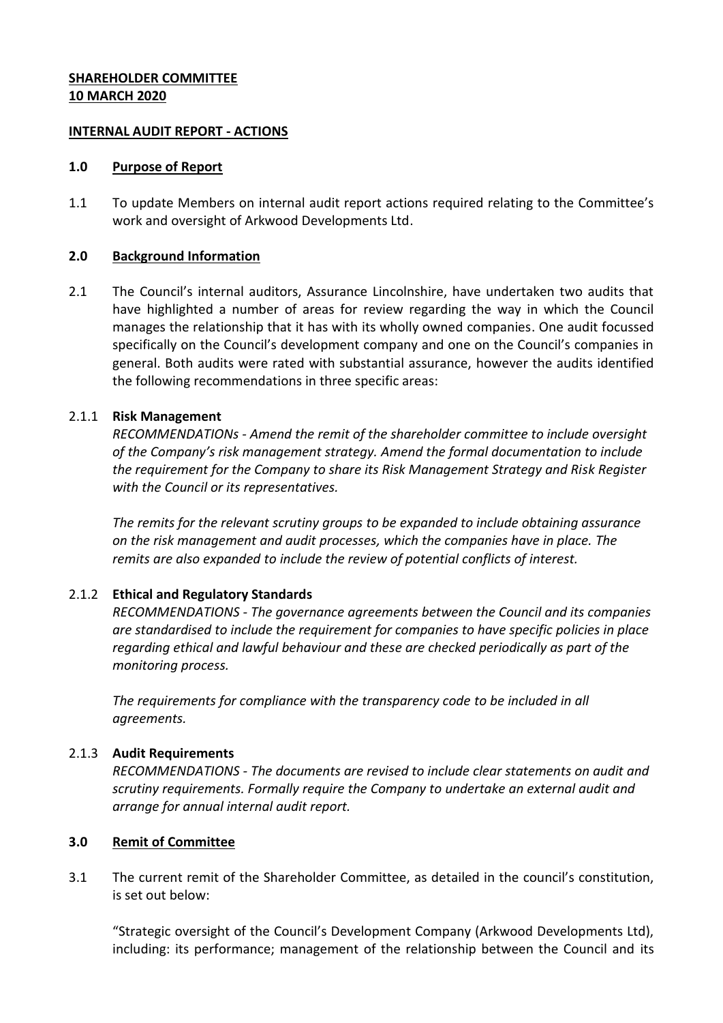#### **SHAREHOLDER COMMITTEE 10 MARCH 2020**

#### **INTERNAL AUDIT REPORT - ACTIONS**

#### **1.0 Purpose of Report**

1.1 To update Members on internal audit report actions required relating to the Committee's work and oversight of Arkwood Developments Ltd.

### **2.0 Background Information**

2.1 The Council's internal auditors, Assurance Lincolnshire, have undertaken two audits that have highlighted a number of areas for review regarding the way in which the Council manages the relationship that it has with its wholly owned companies. One audit focussed specifically on the Council's development company and one on the Council's companies in general. Both audits were rated with substantial assurance, however the audits identified the following recommendations in three specific areas:

# 2.1.1 **Risk Management**

*RECOMMENDATIONs - Amend the remit of the shareholder committee to include oversight of the Company's risk management strategy. Amend the formal documentation to include the requirement for the Company to share its Risk Management Strategy and Risk Register with the Council or its representatives.* 

*The remits for the relevant scrutiny groups to be expanded to include obtaining assurance on the risk management and audit processes, which the companies have in place. The remits are also expanded to include the review of potential conflicts of interest.* 

# 2.1.2 **Ethical and Regulatory Standards**

*RECOMMENDATIONS - The governance agreements between the Council and its companies are standardised to include the requirement for companies to have specific policies in place regarding ethical and lawful behaviour and these are checked periodically as part of the monitoring process.*

*The requirements for compliance with the transparency code to be included in all agreements.* 

# 2.1.3 **Audit Requirements**

*RECOMMENDATIONS - The documents are revised to include clear statements on audit and scrutiny requirements. Formally require the Company to undertake an external audit and arrange for annual internal audit report.* 

# **3.0 Remit of Committee**

3.1 The current remit of the Shareholder Committee, as detailed in the council's constitution, is set out below:

"Strategic oversight of the Council's Development Company (Arkwood Developments Ltd), including: its performance; management of the relationship between the Council and its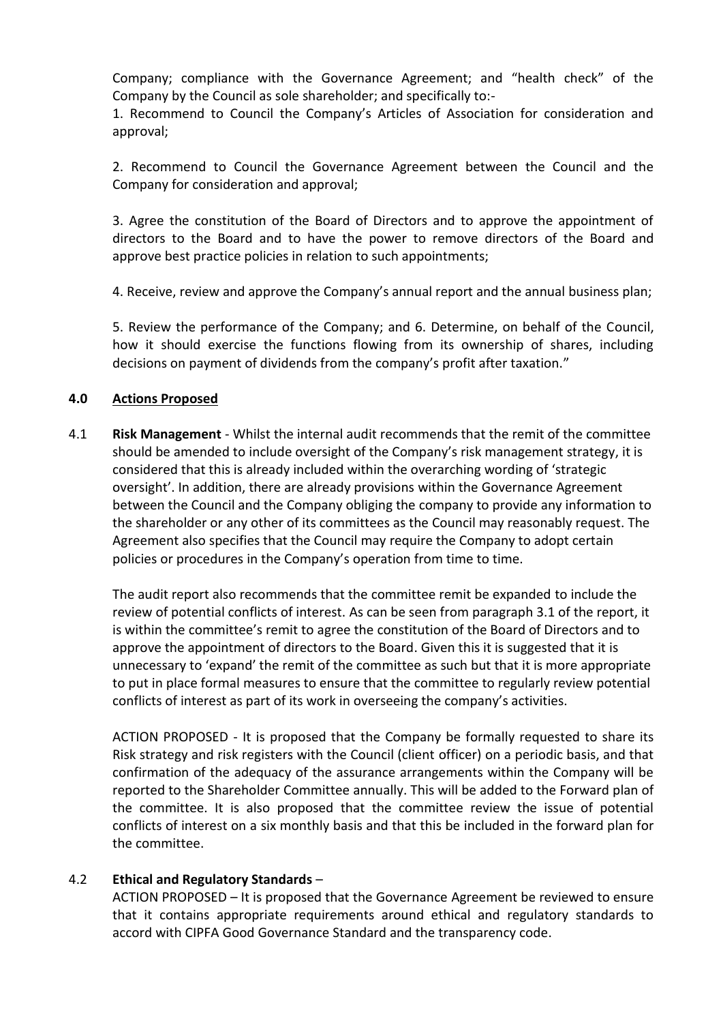Company; compliance with the Governance Agreement; and "health check" of the Company by the Council as sole shareholder; and specifically to:-

1. Recommend to Council the Company's Articles of Association for consideration and approval;

2. Recommend to Council the Governance Agreement between the Council and the Company for consideration and approval;

3. Agree the constitution of the Board of Directors and to approve the appointment of directors to the Board and to have the power to remove directors of the Board and approve best practice policies in relation to such appointments;

4. Receive, review and approve the Company's annual report and the annual business plan;

5. Review the performance of the Company; and 6. Determine, on behalf of the Council, how it should exercise the functions flowing from its ownership of shares, including decisions on payment of dividends from the company's profit after taxation."

### **4.0 Actions Proposed**

4.1 **Risk Management** - Whilst the internal audit recommends that the remit of the committee should be amended to include oversight of the Company's risk management strategy, it is considered that this is already included within the overarching wording of 'strategic oversight'. In addition, there are already provisions within the Governance Agreement between the Council and the Company obliging the company to provide any information to the shareholder or any other of its committees as the Council may reasonably request. The Agreement also specifies that the Council may require the Company to adopt certain policies or procedures in the Company's operation from time to time.

The audit report also recommends that the committee remit be expanded to include the review of potential conflicts of interest. As can be seen from paragraph 3.1 of the report, it is within the committee's remit to agree the constitution of the Board of Directors and to approve the appointment of directors to the Board. Given this it is suggested that it is unnecessary to 'expand' the remit of the committee as such but that it is more appropriate to put in place formal measures to ensure that the committee to regularly review potential conflicts of interest as part of its work in overseeing the company's activities.

ACTION PROPOSED - It is proposed that the Company be formally requested to share its Risk strategy and risk registers with the Council (client officer) on a periodic basis, and that confirmation of the adequacy of the assurance arrangements within the Company will be reported to the Shareholder Committee annually. This will be added to the Forward plan of the committee. It is also proposed that the committee review the issue of potential conflicts of interest on a six monthly basis and that this be included in the forward plan for the committee.

#### 4.2 **Ethical and Regulatory Standards** –

ACTION PROPOSED – It is proposed that the Governance Agreement be reviewed to ensure that it contains appropriate requirements around ethical and regulatory standards to accord with CIPFA Good Governance Standard and the transparency code.